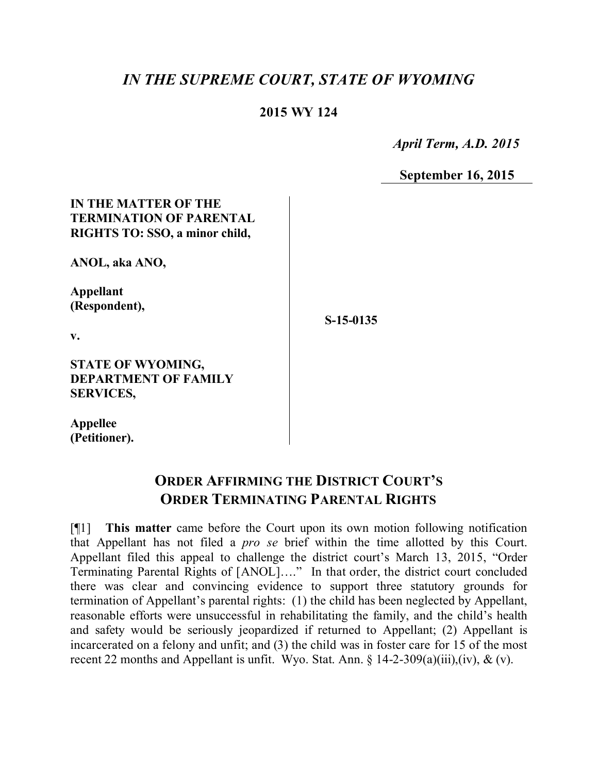# *IN THE SUPREME COURT, STATE OF WYOMING*

### **2015 WY 124**

 *April Term, A.D. 2015*

**September 16, 2015**

### **IN THE MATTER OF THE TERMINATION OF PARENTAL RIGHTS TO: SSO, a minor child,**

**ANOL, aka ANO,** 

**Appellant (Respondent),**

**v.**

**S-15-0135**

**STATE OF WYOMING, DEPARTMENT OF FAMILY SERVICES,**

**Appellee (Petitioner).**

## **ORDER AFFIRMING THE DISTRICT COURT'S ORDER TERMINATING PARENTAL RIGHTS**

[¶1] **This matter** came before the Court upon its own motion following notification that Appellant has not filed a *pro se* brief within the time allotted by this Court. Appellant filed this appeal to challenge the district court's March 13, 2015, "Order Terminating Parental Rights of [ANOL]…." In that order, the district court concluded there was clear and convincing evidence to support three statutory grounds for termination of Appellant's parental rights: (1) the child has been neglected by Appellant, reasonable efforts were unsuccessful in rehabilitating the family, and the child's health and safety would be seriously jeopardized if returned to Appellant; (2) Appellant is incarcerated on a felony and unfit; and (3) the child was in foster care for 15 of the most recent 22 months and Appellant is unfit. Wyo. Stat. Ann.  $\S$  14-2-309(a)(iii),(iv), & (v).